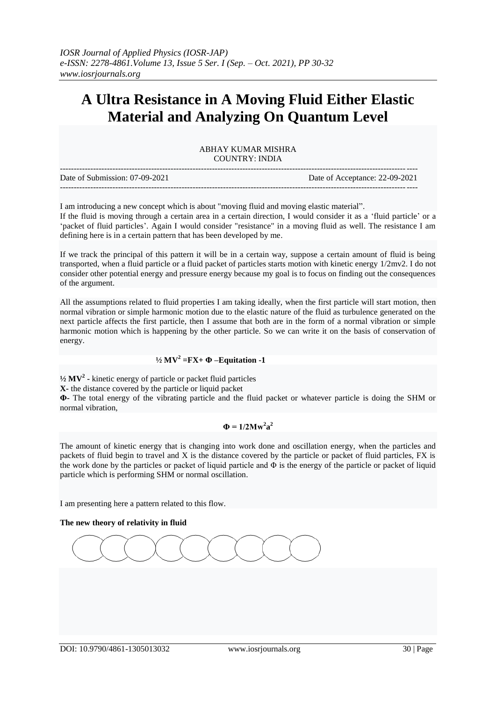# **A Ultra Resistance in A Moving Fluid Either Elastic Material and Analyzing On Quantum Level**

ABHAY KUMAR MISHRA COUNTRY: INDIA

| Date of Submission: 07-09-2021 | Date of Acceptance: 22-09-2021 |
|--------------------------------|--------------------------------|
|                                |                                |

I am introducing a new concept which is about "moving fluid and moving elastic material". If the fluid is moving through a certain area in a certain direction, I would consider it as a "fluid particle" or a "packet of fluid particles". Again I would consider "resistance" in a moving fluid as well. The resistance I am defining here is in a certain pattern that has been developed by me.

If we track the principal of this pattern it will be in a certain way, suppose a certain amount of fluid is being transported, when a fluid particle or a fluid packet of particles starts motion with kinetic energy 1/2mv2. I do not consider other potential energy and pressure energy because my goal is to focus on finding out the consequences of the argument.

All the assumptions related to fluid properties I am taking ideally, when the first particle will start motion, then normal vibration or simple harmonic motion due to the elastic nature of the fluid as turbulence generated on the next particle affects the first particle, then I assume that both are in the form of a normal vibration or simple harmonic motion which is happening by the other particle. So we can write it on the basis of conservation of energy.

## **½ MV<sup>2</sup> =FX+ Φ –Equitation -1**

**½ MV<sup>2</sup> -** kinetic energy of particle or packet fluid particles

**X-** the distance covered by the particle or liquid packet

**Φ-** The total energy of the vibrating particle and the fluid packet or whatever particle is doing the SHM or normal vibration,

## $\Phi = 1/2Mw^2a^2$

The amount of kinetic energy that is changing into work done and oscillation energy, when the particles and packets of fluid begin to travel and X is the distance covered by the particle or packet of fluid particles, FX is the work done by the particles or packet of liquid particle and  $\Phi$  is the energy of the particle or packet of liquid particle which is performing SHM or normal oscillation.

I am presenting here a pattern related to this flow.

#### **The new theory of relativity in fluid**

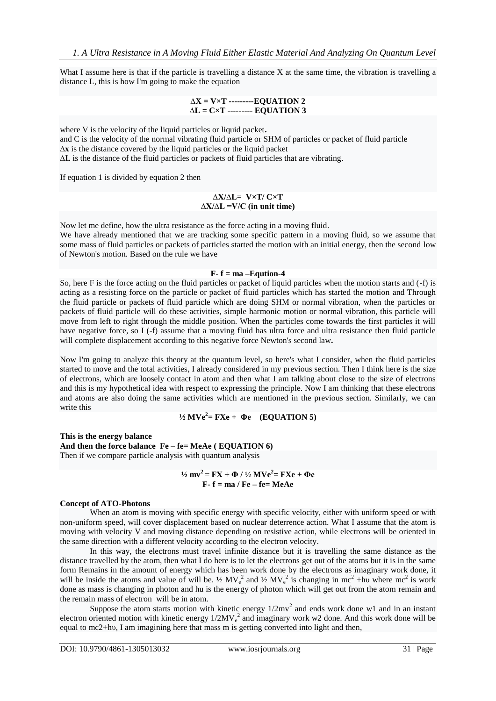What I assume here is that if the particle is travelling a distance X at the same time, the vibration is travelling a distance L, this is how I'm going to make the equation

#### **∆X = V×T ---------EQUATION 2 ∆L = C×T --------- EQUATION 3**

where V is the velocity of the liquid particles or liquid packet**.**

and C is the velocity of the normal vibrating fluid particle or SHM of particles or packet of fluid particle

**∆x** is the distance covered by the liquid particles or the liquid packet

**∆L** is the distance of the fluid particles or packets of fluid particles that are vibrating.

If equation 1 is divided by equation 2 then

#### **∆X/∆L= V×T/ C×T ∆X/∆L =V/C (in unit time)**

Now let me define, how the ultra resistance as the force acting in a moving fluid.

We have already mentioned that we are tracking some specific pattern in a moving fluid, so we assume that some mass of fluid particles or packets of particles started the motion with an initial energy, then the second low of Newton's motion. Based on the rule we have

### $F - f = ma - Equation -4$

So, here F is the force acting on the fluid particles or packet of liquid particles when the motion starts and (-f) is acting as a resisting force on the particle or packet of fluid particles which has started the motion and Through the fluid particle or packets of fluid particle which are doing SHM or normal vibration, when the particles or packets of fluid particle will do these activities, simple harmonic motion or normal vibration, this particle will move from left to right through the middle position. When the particles come towards the first particles it will have negative force, so I (-f) assume that a moving fluid has ultra force and ultra resistance then fluid particle will complete displacement according to this negative force Newton's second law**.**

Now I'm going to analyze this theory at the quantum level, so here's what I consider, when the fluid particles started to move and the total activities, I already considered in my previous section. Then I think here is the size of electrons, which are loosely contact in atom and then what I am talking about close to the size of electrons and this is my hypothetical idea with respect to expressing the principle. Now I am thinking that these electrons and atoms are also doing the same activities which are mentioned in the previous section. Similarly, we can write this

$$
\frac{1}{2}MVe^2 = FXe + \Phi e \quad (EQUATION 5)
$$

**This is the energy balance And then the force balance Fe – fe= MeAe ( EQUATION 6)** Then if we compare particle analysis with quantum analysis

> **½ mv<sup>2</sup>= FX + Φ / ½ MVe<sup>2</sup> = FXe + Φe F- f = ma / Fe – fe= MeAe**

#### **Concept of ATO-Photons**

When an atom is moving with specific energy with specific velocity, either with uniform speed or with non-uniform speed, will cover displacement based on nuclear deterrence action. What I assume that the atom is moving with velocity V and moving distance depending on resistive action, while electrons will be oriented in the same direction with a different velocity according to the electron velocity.

In this way, the electrons must travel infinite distance but it is travelling the same distance as the distance travelled by the atom, then what I do here is to let the electrons get out of the atoms but it is in the same form Remains in the amount of energy which has been work done by the electrons as imaginary work done, it will be inside the atoms and value of will be.  $\frac{1}{2} MV_e^2$  and  $\frac{1}{2}MV_e^2$  is changing in mc<sup>2</sup> +hv where mc<sup>2</sup> is work done as mass is changing in photon and hu is the energy of photon which will get out from the atom remain and the remain mass of electron will be in atom.

Suppose the atom starts motion with kinetic energy  $1/2mv^2$  and ends work done w1 and in an instant electron oriented motion with kinetic energy  $1/2MV_e^2$  and imaginary work w2 done. And this work done will be equal to mc2+hυ, I am imagining here that mass m is getting converted into light and then,